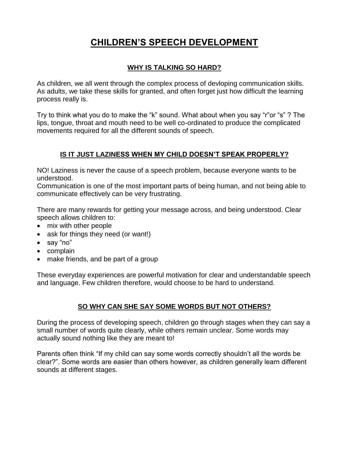# **CHILDREN'S SPEECH DEVELOPMENT**

### **WHY IS TALKING SO HARD?**

As children, we all went through the complex process of devloping communication skills. As adults, we take these skills for granted, and often forget just how difficult the learning process really is.

Try to think what you do to make the "k" sound. What about when you say "r"or "s" ? The lips, tongue, throat and mouth need to be well co-ordinated to produce the complicated movements required for all the different sounds of speech.

### **IS IT JUST LAZINESS WHEN MY CHILD DOESN'T SPEAK PROPERLY?**

NO! Laziness is never the cause of a speech problem, because everyone wants to be understood.

Communication is one of the most important parts of being human, and not being able to communicate effectively can be very frustrating.

There are many rewards for getting your message across, and being understood. Clear speech allows children to:

- mix with other people
- ask for things they need (or want!)
- say "no"
- complain
- make friends, and be part of a group

These everyday experiences are powerful motivation for clear and understandable speech and language. Few children therefore, would choose to be hard to understand.

## **SO WHY CAN SHE SAY SOME WORDS BUT NOT OTHERS?**

During the process of developing speech, children go through stages when they can say a small number of words quite clearly, while others remain unclear. Some words may actually sound nothing like they are meant to!

Parents often think "If my child can say some words correctly shouldn't all the words be clear?". Some words are easier than others however, as children generally learn different sounds at different stages.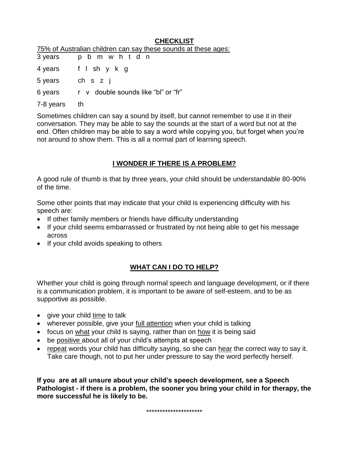#### **CHECKLIST**

| 75% of Australian children can say these sounds at these ages: |
|----------------------------------------------------------------|
|----------------------------------------------------------------|

| 3 years   | p b m w h t d n                     |
|-----------|-------------------------------------|
| 4 years   | f Ishykg                            |
| 5 years   | ch s z j                            |
| 6 years   | r v double sounds like "bl" or "fr" |
| 7-8 years | th                                  |

Sometimes children can say a sound by itself, but cannot remember to use it in their conversation. They may be able to say the sounds at the start of a word but not at the end. Often children may be able to say a word while copying you, but forget when you're not around to show them. This is all a normal part of learning speech.

#### **I WONDER IF THERE IS A PROBLEM?**

A good rule of thumb is that by three years, your child should be understandable 80-90% of the time.

Some other points that may indicate that your child is experiencing difficulty with his speech are:

- If other family members or friends have difficulty understanding
- If your child seems embarrassed or frustrated by not being able to get his message across
- If your child avoids speaking to others

### **WHAT CAN I DO TO HELP?**

Whether your child is going through normal speech and language development, or if there is a communication problem, it is important to be aware of self-esteem, and to be as supportive as possible.

- give your child time to talk
- wherever possible, give your full attention when your child is talking
- focus on what your child is saying, rather than on how it is being said
- be positive about all of your child's attempts at speech
- repeat words your child has difficulty saying, so she can hear the correct way to say it. Take care though, not to put her under pressure to say the word perfectly herself.

**If you are at all unsure about your child's speech development, see a Speech Pathologist - if there is a problem, the sooner you bring your child in for therapy, the more successful he is likely to be.**

\*\*\*\*\*\*\*\*\*\*\*\*\*\*\*\*\*\*\*\*\*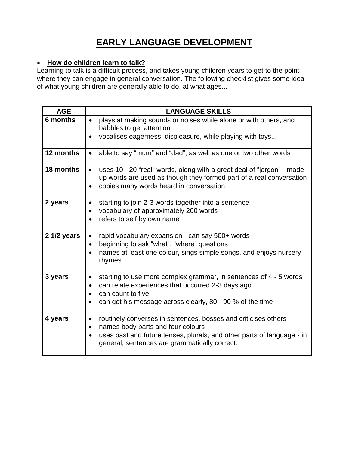# **EARLY LANGUAGE DEVELOPMENT**

## **How do children learn to talk?**

Learning to talk is a difficult process, and takes young children years to get to the point where they can engage in general conversation. The following checklist gives some idea of what young children are generally able to do, at what ages...

| <b>AGE</b>  | <b>LANGUAGE SKILLS</b>                                                                                                                                                                                     |
|-------------|------------------------------------------------------------------------------------------------------------------------------------------------------------------------------------------------------------|
| 6 months    | plays at making sounds or noises while alone or with others, and<br>$\bullet$<br>babbles to get attention                                                                                                  |
|             | vocalises eagerness, displeasure, while playing with toys                                                                                                                                                  |
| 12 months   | able to say "mum" and "dad", as well as one or two other words                                                                                                                                             |
| 18 months   | uses 10 - 20 "real" words, along with a great deal of "jargon" - made-<br>$\bullet$<br>up words are used as though they formed part of a real conversation<br>copies many words heard in conversation<br>٠ |
| 2 years     | starting to join 2-3 words together into a sentence<br>$\bullet$<br>vocabulary of approximately 200 words<br>$\bullet$                                                                                     |
|             | refers to self by own name<br>$\bullet$                                                                                                                                                                    |
| 2 1/2 years | rapid vocabulary expansion - can say 500+ words<br>$\bullet$<br>beginning to ask "what", "where" questions<br>$\bullet$                                                                                    |
|             | names at least one colour, sings simple songs, and enjoys nursery<br>٠<br>rhymes                                                                                                                           |
| 3 years     | starting to use more complex grammar, in sentences of 4 - 5 words<br>$\bullet$<br>can relate experiences that occurred 2-3 days ago<br>$\bullet$<br>can count to five                                      |
|             | can get his message across clearly, 80 - 90 % of the time<br>$\bullet$                                                                                                                                     |
| 4 years     | routinely converses in sentences, bosses and criticises others<br>$\bullet$<br>names body parts and four colours<br>$\bullet$                                                                              |
|             | uses past and future tenses, plurals, and other parts of language - in<br>$\bullet$<br>general, sentences are grammatically correct.                                                                       |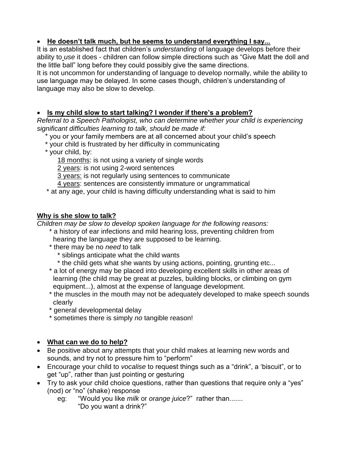## **He doesn't talk much, but he seems to understand everything I say...**

It is an established fact that children's *understanding* of language develops before their ability to *use* it does - children can follow simple directions such as "Give Matt the doll and the little ball" long before they could possibly give the same directions.

It is not uncommon for understanding of language to develop normally, while the ability to use language may be delayed. In some cases though, children's understanding of language may also be slow to develop.

### **Is my child slow to start talking? I wonder if there's a problem?**

*Referral to a Speech Pathologist, who can determine whether your child is experiencing significant difficulties learning to talk, should be made if:*

- \* you or your family members are at all concerned about your child's speech
- \* your child is frustrated by her difficulty in communicating
- \* your child, by:
	- 18 months: is not using a variety of single words
	- 2 years: is not using 2-word sentences
	- 3 years: is not regularly using sentences to communicate
	- 4 years: sentences are consistently immature or ungrammatical
- \* at any age, your child is having difficulty understanding what is said to him

## **Why is she slow to talk?**

*Children may be slow to develop spoken language for the following reasons:*

- \* a history of ear infections and mild hearing loss, preventing children from hearing the language they are supposed to be learning.
- \* there may be no *need* to talk
	- \* siblings anticipate what the child wants
	- \* the child gets what she wants by using actions, pointing, grunting etc...
- \* a lot of energy may be placed into developing excellent skills in other areas of learning (the child may be great at puzzles, building blocks, or climbing on gym equipment...), almost at the expense of language development.
- \* the muscles in the mouth may not be adequately developed to make speech sounds clearly
- \* general developmental delay
- \* sometimes there is simply *no* tangible reason!

# **What can we do to help?**

- Be positive about any attempts that your child makes at learning new words and sounds, and try not to pressure him to "perform"
- Encourage your child to *vocalise* to request things such as a "drink", a 'biscuit", or to get "up", rather than just pointing or gesturing
- Try to ask your child choice questions, rather than questions that require only a "yes" (nod) or "no" (shake) response
	- eg: "Would you like *milk* or *orange juice*?" rather than....... "Do you want a drink?"